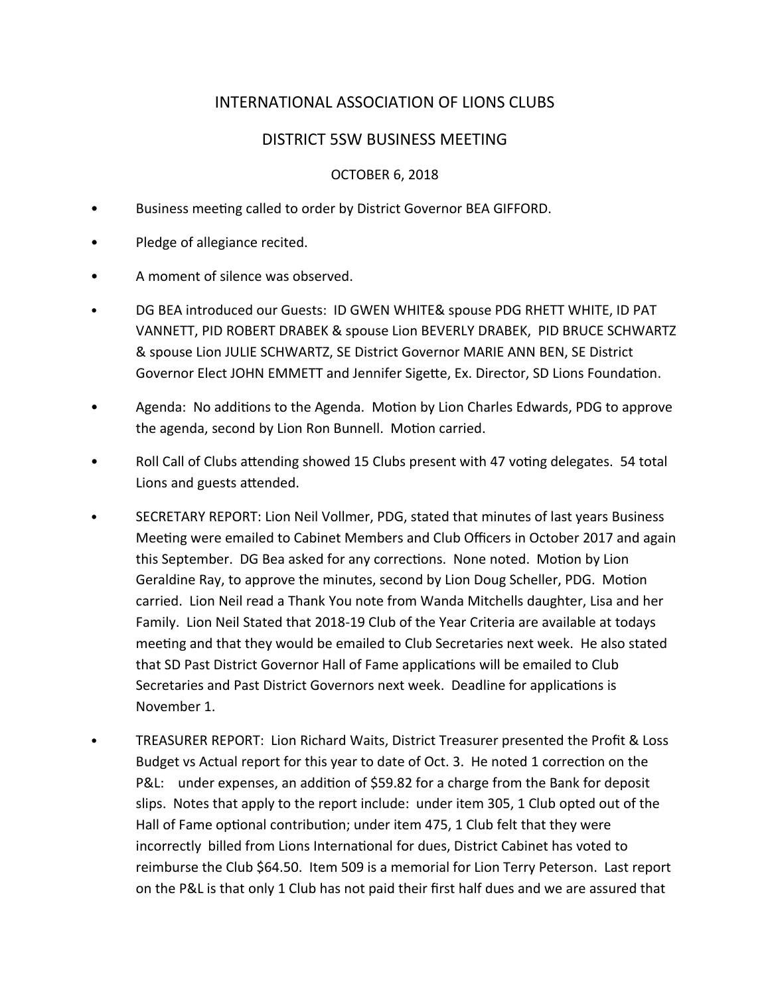# INTERNATIONAL ASSOCIATION OF LIONS CLUBS

# DISTRICT 5SW BUSINESS MEETING

## OCTOBER 6, 2018

- Business meeting called to order by District Governor BEA GIFFORD.
- Pledge of allegiance recited.
- A moment of silence was observed.
- DG BEA introduced our Guests: ID GWEN WHITE& spouse PDG RHETT WHITE, ID PAT VANNETT, PID ROBERT DRABEK & spouse Lion BEVERLY DRABEK, PID BRUCE SCHWARTZ & spouse Lion JULIE SCHWARTZ, SE District Governor MARIE ANN BEN, SE District Governor Elect JOHN EMMETT and Jennifer Sigette, Ex. Director, SD Lions Foundation.
- Agenda: No additions to the Agenda. Motion by Lion Charles Edwards, PDG to approve the agenda, second by Lion Ron Bunnell. Motion carried.
- Roll Call of Clubs attending showed 15 Clubs present with 47 voting delegates. 54 total Lions and guests attended.
- SECRETARY REPORT: Lion Neil Vollmer, PDG, stated that minutes of last years Business Meeting were emailed to Cabinet Members and Club Officers in October 2017 and again this September. DG Bea asked for any corrections. None noted. Motion by Lion Geraldine Ray, to approve the minutes, second by Lion Doug Scheller, PDG. Motion carried. Lion Neil read a Thank You note from Wanda Mitchells daughter, Lisa and her Family. Lion Neil Stated that 2018-19 Club of the Year Criteria are available at todays meeting and that they would be emailed to Club Secretaries next week. He also stated that SD Past District Governor Hall of Fame applications will be emailed to Club Secretaries and Past District Governors next week. Deadline for applications is November 1.
- TREASURER REPORT: Lion Richard Waits, District Treasurer presented the Profit & Loss Budget vs Actual report for this year to date of Oct. 3. He noted 1 correction on the P&L: under expenses, an addition of \$59.82 for a charge from the Bank for deposit slips. Notes that apply to the report include: under item 305, 1 Club opted out of the Hall of Fame optional contribution; under item 475, 1 Club felt that they were incorrectly billed from Lions International for dues, District Cabinet has voted to reimburse the Club \$64.50. Item 509 is a memorial for Lion Terry Peterson. Last report on the P&L is that only 1 Club has not paid their first half dues and we are assured that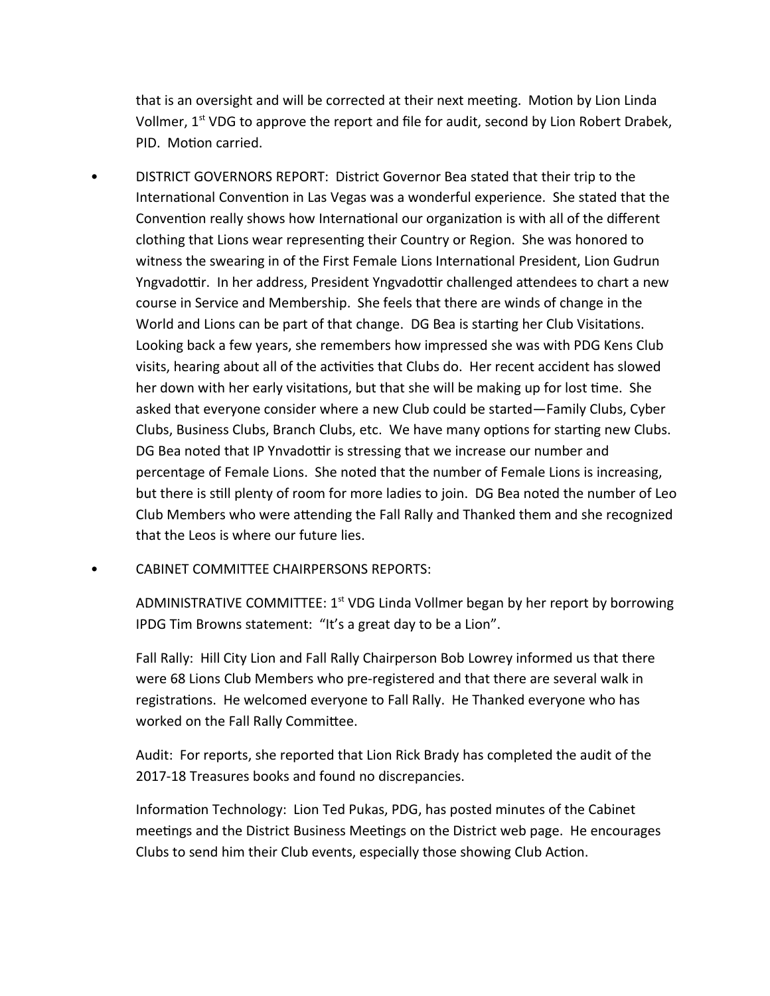that is an oversight and will be corrected at their next meeting. Motion by Lion Linda Vollmer, 1<sup>st</sup> VDG to approve the report and file for audit, second by Lion Robert Drabek, PID. Motion carried.

- DISTRICT GOVERNORS REPORT: District Governor Bea stated that their trip to the International Convention in Las Vegas was a wonderful experience. She stated that the Convention really shows how International our organization is with all of the different clothing that Lions wear representing their Country or Region. She was honored to witness the swearing in of the First Female Lions International President, Lion Gudrun Yngvadottir. In her address, President Yngvadottir challenged attendees to chart a new course in Service and Membership. She feels that there are winds of change in the World and Lions can be part of that change. DG Bea is starting her Club Visitations. Looking back a few years, she remembers how impressed she was with PDG Kens Club visits, hearing about all of the activities that Clubs do. Her recent accident has slowed her down with her early visitations, but that she will be making up for lost time. She asked that everyone consider where a new Club could be started—Family Clubs, Cyber Clubs, Business Clubs, Branch Clubs, etc. We have many options for starting new Clubs. DG Bea noted that IP Ynvadottir is stressing that we increase our number and percentage of Female Lions. She noted that the number of Female Lions is increasing, but there is still plenty of room for more ladies to join. DG Bea noted the number of Leo Club Members who were attending the Fall Rally and Thanked them and she recognized that the Leos is where our future lies.
- CABINET COMMITTEE CHAIRPERSONS REPORTS:

ADMINISTRATIVE COMMITTEE:  $1<sup>st</sup>$  VDG Linda Vollmer began by her report by borrowing IPDG Tim Browns statement: "It's a great day to be a Lion".

Fall Rally: Hill City Lion and Fall Rally Chairperson Bob Lowrey informed us that there were 68 Lions Club Members who pre-registered and that there are several walk in registrations. He welcomed everyone to Fall Rally. He Thanked everyone who has worked on the Fall Rally Committee.

Audit: For reports, she reported that Lion Rick Brady has completed the audit of the 2017-18 Treasures books and found no discrepancies.

Information Technology: Lion Ted Pukas, PDG, has posted minutes of the Cabinet meetings and the District Business Meetings on the District web page. He encourages Clubs to send him their Club events, especially those showing Club Action.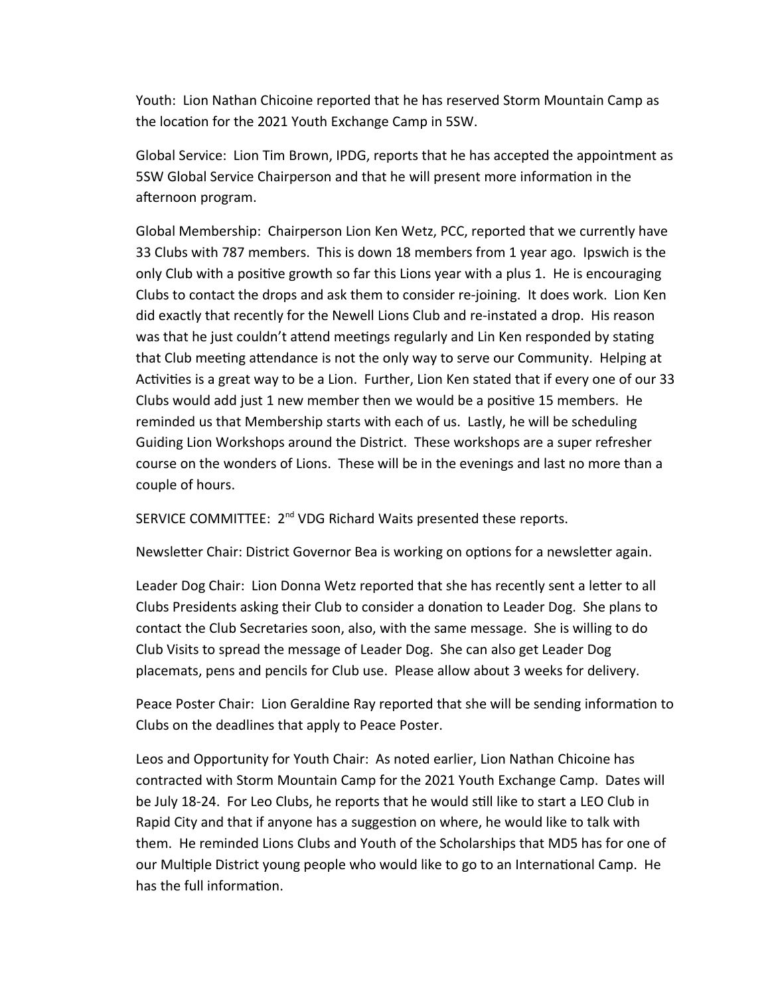Youth: Lion Nathan Chicoine reported that he has reserved Storm Mountain Camp as the location for the 2021 Youth Exchange Camp in 5SW.

Global Service: Lion Tim Brown, IPDG, reports that he has accepted the appointment as 5SW Global Service Chairperson and that he will present more information in the afternoon program.

Global Membership: Chairperson Lion Ken Wetz, PCC, reported that we currently have 33 Clubs with 787 members. This is down 18 members from 1 year ago. Ipswich is the only Club with a positive growth so far this Lions year with a plus 1. He is encouraging Clubs to contact the drops and ask them to consider re-joining. It does work. Lion Ken did exactly that recently for the Newell Lions Club and re-instated a drop. His reason was that he just couldn't attend meetings regularly and Lin Ken responded by stating that Club meeting attendance is not the only way to serve our Community. Helping at Activities is a great way to be a Lion. Further, Lion Ken stated that if every one of our 33 Clubs would add just 1 new member then we would be a positive 15 members. He reminded us that Membership starts with each of us. Lastly, he will be scheduling Guiding Lion Workshops around the District. These workshops are a super refresher course on the wonders of Lions. These will be in the evenings and last no more than a couple of hours.

SERVICE COMMITTEE: 2<sup>nd</sup> VDG Richard Waits presented these reports.

Newsletter Chair: District Governor Bea is working on options for a newsletter again.

Leader Dog Chair: Lion Donna Wetz reported that she has recently sent a letter to all Clubs Presidents asking their Club to consider a donation to Leader Dog. She plans to contact the Club Secretaries soon, also, with the same message. She is willing to do Club Visits to spread the message of Leader Dog. She can also get Leader Dog placemats, pens and pencils for Club use. Please allow about 3 weeks for delivery.

Peace Poster Chair: Lion Geraldine Ray reported that she will be sending information to Clubs on the deadlines that apply to Peace Poster.

Leos and Opportunity for Youth Chair: As noted earlier, Lion Nathan Chicoine has contracted with Storm Mountain Camp for the 2021 Youth Exchange Camp. Dates will be July 18-24. For Leo Clubs, he reports that he would still like to start a LEO Club in Rapid City and that if anyone has a suggestion on where, he would like to talk with them. He reminded Lions Clubs and Youth of the Scholarships that MD5 has for one of our Multiple District young people who would like to go to an International Camp. He has the full information.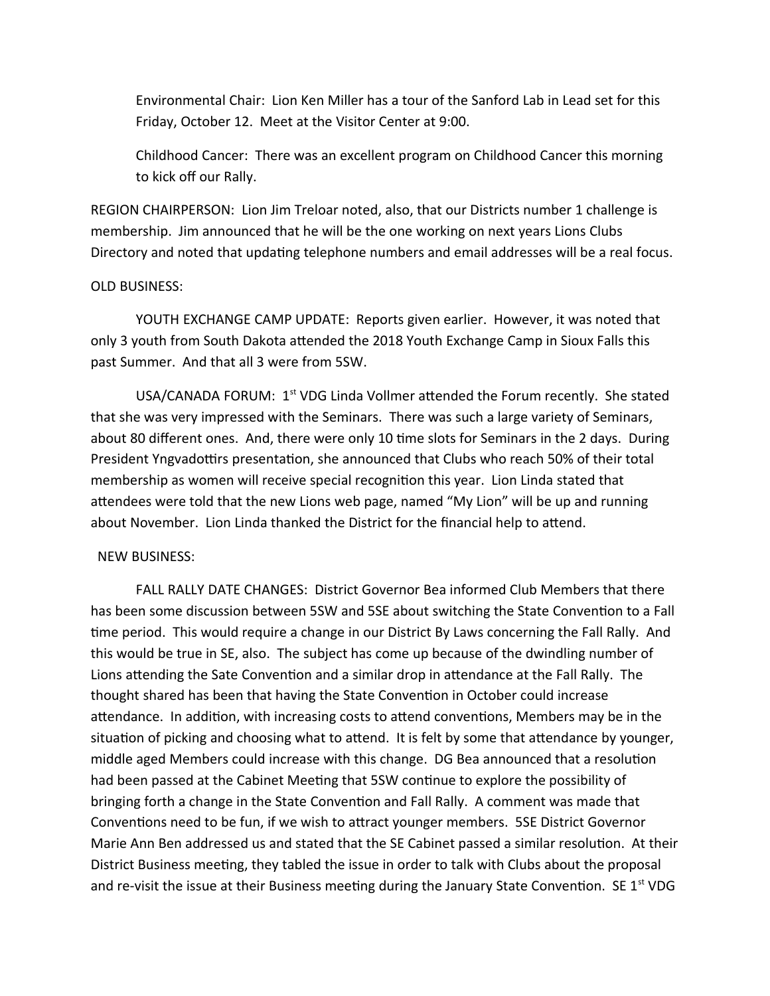Environmental Chair: Lion Ken Miller has a tour of the Sanford Lab in Lead set for this Friday, October 12. Meet at the Visitor Center at 9:00.

Childhood Cancer: There was an excellent program on Childhood Cancer this morning to kick off our Rally.

REGION CHAIRPERSON: Lion Jim Treloar noted, also, that our Districts number 1 challenge is membership. Jim announced that he will be the one working on next years Lions Clubs Directory and noted that updating telephone numbers and email addresses will be a real focus.

### OLD BUSINESS:

YOUTH EXCHANGE CAMP UPDATE: Reports given earlier. However, it was noted that only 3 youth from South Dakota attended the 2018 Youth Exchange Camp in Sioux Falls this past Summer. And that all 3 were from 5SW.

USA/CANADA FORUM: 1<sup>st</sup> VDG Linda Vollmer attended the Forum recently. She stated that she was very impressed with the Seminars. There was such a large variety of Seminars, about 80 different ones. And, there were only 10 time slots for Seminars in the 2 days. During President Yngvadottirs presentation, she announced that Clubs who reach 50% of their total membership as women will receive special recognition this year. Lion Linda stated that attendees were told that the new Lions web page, named "My Lion" will be up and running about November. Lion Linda thanked the District for the financial help to attend.

#### NEW BUSINESS:

 FALL RALLY DATE CHANGES: District Governor Bea informed Club Members that there has been some discussion between 5SW and 5SE about switching the State Convention to a Fall time period. This would require a change in our District By Laws concerning the Fall Rally. And this would be true in SE, also. The subject has come up because of the dwindling number of Lions attending the Sate Convention and a similar drop in attendance at the Fall Rally. The thought shared has been that having the State Convention in October could increase attendance. In addition, with increasing costs to attend conventions, Members may be in the situation of picking and choosing what to attend. It is felt by some that attendance by younger, middle aged Members could increase with this change. DG Bea announced that a resolution had been passed at the Cabinet Meeting that 5SW continue to explore the possibility of bringing forth a change in the State Convention and Fall Rally. A comment was made that Conventions need to be fun, if we wish to attract younger members. 5SE District Governor Marie Ann Ben addressed us and stated that the SE Cabinet passed a similar resolution. At their District Business meeting, they tabled the issue in order to talk with Clubs about the proposal and re-visit the issue at their Business meeting during the January State Convention. SE  $1^{st}$  VDG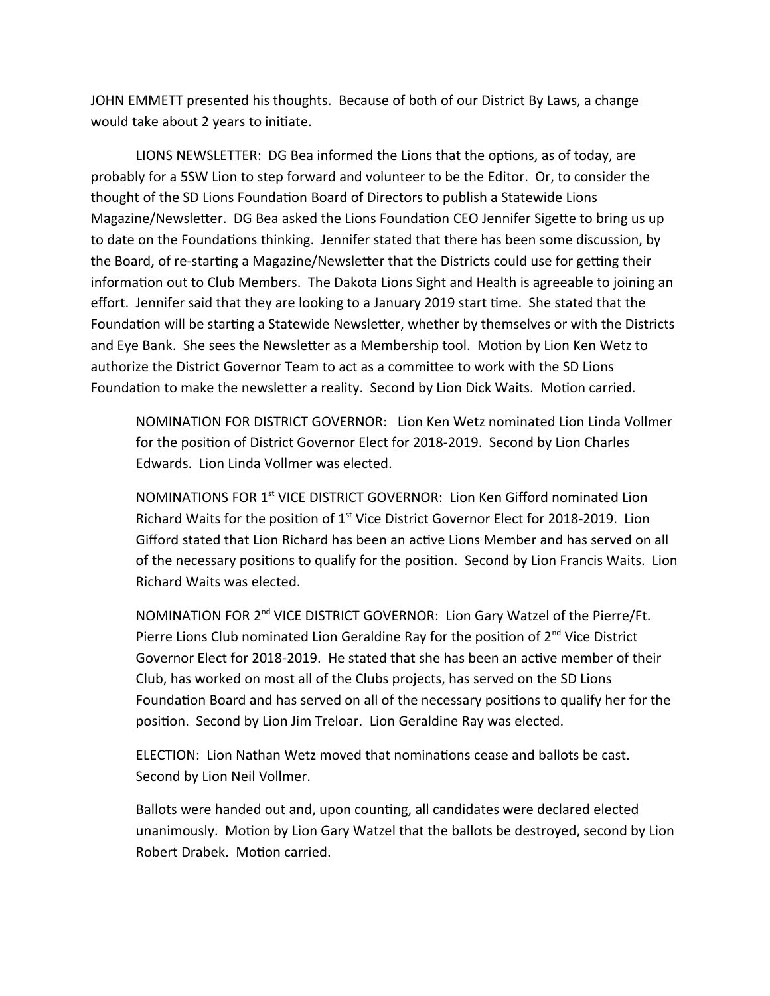JOHN EMMETT presented his thoughts. Because of both of our District By Laws, a change would take about 2 years to initiate.

LIONS NEWSLETTER: DG Bea informed the Lions that the options, as of today, are probably for a 5SW Lion to step forward and volunteer to be the Editor. Or, to consider the thought of the SD Lions Foundation Board of Directors to publish a Statewide Lions Magazine/Newsletter. DG Bea asked the Lions Foundation CEO Jennifer Sigette to bring us up to date on the Foundations thinking. Jennifer stated that there has been some discussion, by the Board, of re-starting a Magazine/Newsletter that the Districts could use for getting their information out to Club Members. The Dakota Lions Sight and Health is agreeable to joining an effort. Jennifer said that they are looking to a January 2019 start time. She stated that the Foundation will be starting a Statewide Newsletter, whether by themselves or with the Districts and Eye Bank. She sees the Newsletter as a Membership tool. Motion by Lion Ken Wetz to authorize the District Governor Team to act as a committee to work with the SD Lions Foundation to make the newsletter a reality. Second by Lion Dick Waits. Motion carried.

NOMINATION FOR DISTRICT GOVERNOR: Lion Ken Wetz nominated Lion Linda Vollmer for the position of District Governor Elect for 2018-2019. Second by Lion Charles Edwards. Lion Linda Vollmer was elected.

NOMINATIONS FOR 1<sup>st</sup> VICE DISTRICT GOVERNOR: Lion Ken Gifford nominated Lion Richard Waits for the position of  $1<sup>st</sup>$  Vice District Governor Elect for 2018-2019. Lion Gifford stated that Lion Richard has been an active Lions Member and has served on all of the necessary positions to qualify for the position. Second by Lion Francis Waits. Lion Richard Waits was elected.

NOMINATION FOR 2<sup>nd</sup> VICE DISTRICT GOVERNOR: Lion Gary Watzel of the Pierre/Ft. Pierre Lions Club nominated Lion Geraldine Ray for the position of 2<sup>nd</sup> Vice District Governor Elect for 2018-2019. He stated that she has been an active member of their Club, has worked on most all of the Clubs projects, has served on the SD Lions Foundation Board and has served on all of the necessary positions to qualify her for the position. Second by Lion Jim Treloar. Lion Geraldine Ray was elected.

ELECTION: Lion Nathan Wetz moved that nominations cease and ballots be cast. Second by Lion Neil Vollmer.

Ballots were handed out and, upon counting, all candidates were declared elected unanimously. Motion by Lion Gary Watzel that the ballots be destroyed, second by Lion Robert Drabek. Motion carried.